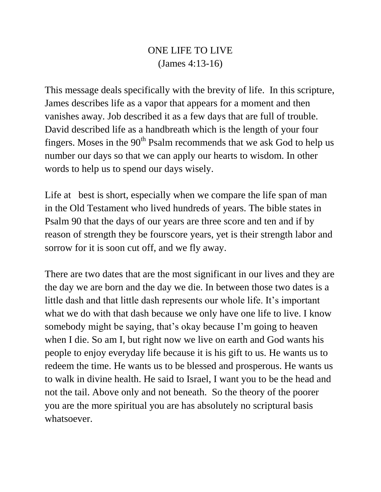## ONE LIFE TO LIVE (James 4:13-16)

This message deals specifically with the brevity of life. In this scripture, James describes life as a vapor that appears for a moment and then vanishes away. Job described it as a few days that are full of trouble. David described life as a handbreath which is the length of your four fingers. Moses in the  $90<sup>th</sup>$  Psalm recommends that we ask God to help us number our days so that we can apply our hearts to wisdom. In other words to help us to spend our days wisely.

Life at best is short, especially when we compare the life span of man in the Old Testament who lived hundreds of years. The bible states in Psalm 90 that the days of our years are three score and ten and if by reason of strength they be fourscore years, yet is their strength labor and sorrow for it is soon cut off, and we fly away.

There are two dates that are the most significant in our lives and they are the day we are born and the day we die. In between those two dates is a little dash and that little dash represents our whole life. It's important what we do with that dash because we only have one life to live. I know somebody might be saying, that's okay because I'm going to heaven when I die. So am I, but right now we live on earth and God wants his people to enjoy everyday life because it is his gift to us. He wants us to redeem the time. He wants us to be blessed and prosperous. He wants us to walk in divine health. He said to Israel, I want you to be the head and not the tail. Above only and not beneath. So the theory of the poorer you are the more spiritual you are has absolutely no scriptural basis whatsoever.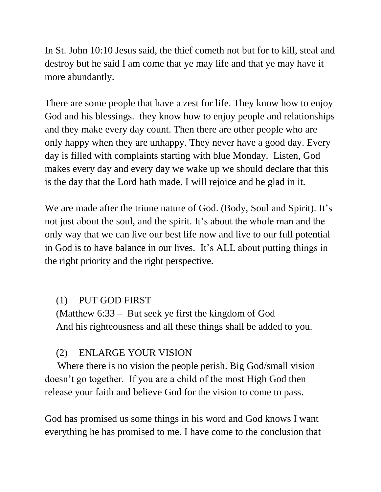In St. John 10:10 Jesus said, the thief cometh not but for to kill, steal and destroy but he said I am come that ye may life and that ye may have it more abundantly.

There are some people that have a zest for life. They know how to enjoy God and his blessings. they know how to enjoy people and relationships and they make every day count. Then there are other people who are only happy when they are unhappy. They never have a good day. Every day is filled with complaints starting with blue Monday. Listen, God makes every day and every day we wake up we should declare that this is the day that the Lord hath made, I will rejoice and be glad in it.

We are made after the triune nature of God. (Body, Soul and Spirit). It's not just about the soul, and the spirit. It's about the whole man and the only way that we can live our best life now and live to our full potential in God is to have balance in our lives. It's ALL about putting things in the right priority and the right perspective.

## (1) PUT GOD FIRST

(Matthew 6:33 – But seek ye first the kingdom of God And his righteousness and all these things shall be added to you.

# (2) ENLARGE YOUR VISION

 Where there is no vision the people perish. Big God/small vision doesn't go together. If you are a child of the most High God then release your faith and believe God for the vision to come to pass.

God has promised us some things in his word and God knows I want everything he has promised to me. I have come to the conclusion that